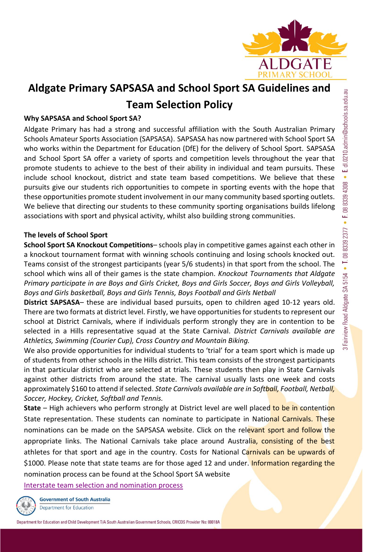

# **Aldgate Primary SAPSASA and School Sport SA Guidelines and Team Selection Policy**

# **Why SAPSASA and School Sport SA?**

Aldgate Primary has had a strong and successful affiliation with the South Australian Primary Schools Amateur Sports Association (SAPSASA). SAPSASA has now partnered with School Sport SA who works within the Department for Education (DfE) for the delivery of School Sport. SAPSASA and School Sport SA offer a variety of sports and competition levels throughout the year that promote students to achieve to the best of their ability in individual and team pursuits. These include school knockout, district and state team based competitions. We believe that these pursuits give our students rich opportunities to compete in sporting events with the hope that these opportunities promote student involvement in our many community based sporting outlets. We believe that directing our students to these community sporting organisations builds lifelong associations with sport and physical activity, whilst also building strong communities.

### **The levels of School Sport**

**School Sport SA Knockout Competitions**– schools play in competitive games against each other in a knockout tournament format with winning schools continuing and losing schools knocked out. Teams consist of the strongest participants (year 5/6 students) in that sport from the school. The school which wins all of their games is the state champion. *Knockout Tournaments that Aldgate Primary participate in are Boys and Girls Cricket, Boys and Girls Soccer, Boys and Girls Volleyball, Boys and Girls basketball, Boys and Girls Tennis, Boys Football and Girls Netball*

**District SAPSASA**– these are individual based pursuits, open to children aged 10-12 years old. There are two formats at district level. Firstly, we have opportunities for students to represent our school at District Carnivals, where if individuals perform strongly they are in contention to be selected in a Hills representative squad at the State Carnival. *District Carnivals available are Athletics, Swimming (Courier Cup), Cross Country and Mountain Biking.* 

We also provide opportunities for individual students to 'trial' for a team sport which is made up of students from other schools in the Hills district. This team consists of the strongest participants in that particular district who are selected at trials. These students then play in State Carnivals against other districts from around the state. The carnival usually lasts one week and costs approximately \$160 to attend if selected. *State Carnivals available are in Softball, Football, Netball, Soccer, Hockey, Cricket, Softball and Tennis.*

**State** – High achievers who perform strongly at District level are well placed to be in contention State representation. These students can nominate to participate in National Carnivals. These nominations can be made on the SAPSASA website. Click on the relevant sport and follow the appropriate links. The National Carnivals take place around Australia, consisting of the best athletes for that sport and age in the country. Costs for National Carnivals can be upwards of \$1000. Please note that state teams are for those aged 12 and under. Information regarding the nomination process can be found at the School Sport SA website

[Interstate team selection and nomination process](https://www.education.sa.gov.au/schools-and-educators/programs-students/school-sport-sa/competitions/interstate-team-selection-and-nomination-process)

**Government of South Australia** Department for Education